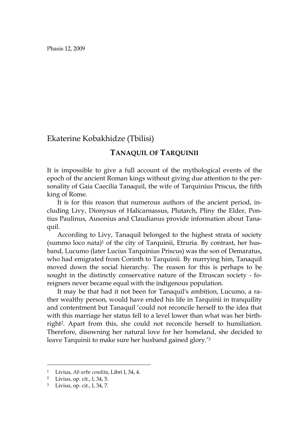Phasis 12, 2009

Ekaterine Kobakhidze (Tbilisi)

## TANAQUIL OF TARQUINII

It is impossible to give a full account of the mythological events of the epoch of the ancient Roman kings without giving due attention to the personality of Gaia Caecilia Tanaquil, the wife of Tarquinius Priscus, the fifth king of Rome.

It is for this reason that numerous authors of the ancient period, including Livy, Dionysus of Halicarnassus, Plutarch, Pliny the Elder, Pontius Paulinus, Ausonius and Claudianus provide information about Tanaquil.

According to Livy, Tanaquil belonged to the highest strata of society (summo loco nata)1 of the city of Tarquinii, Etruria. By contrast, her husband, Lucumo (later Lucius Tarquinius Priscus) was the son of Demaratus, who had emigrated from Corinth to Tarquinii. By marrying him, Tanaquil moved down the social hierarchy. The reason for this is perhaps to be sought in the distinctly conservative nature of the Etruscan society - foreigners never became equal with the indigenous population.

It may be that had it not been for Tanaquil's ambition, Lucumo, a rather wealthy person, would have ended his life in Tarquinii in tranquility and contentment but Tanaquil 'could not reconcile herself to the idea that with this marriage her status fell to a level lower than what was her birthright2. Apart from this, she could not reconcile herself to humiliation. Therefore, disowning her natural love for her homeland, she decided to leave Tarquinii to make sure her husband gained glory.'3

<sup>1</sup> Livius, *Ab urbe condita*, Libri I, 34, 4.

<sup>2</sup> Livius, op. cit., I, 34, 5.

<sup>3</sup> Livius, op. cit., I, 34, 7.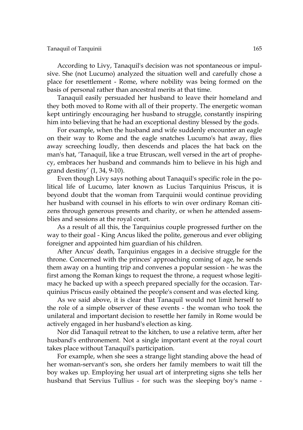## Tanaquil of Tarquinii 165

According to Livy, Tanaquil's decision was not spontaneous or impulsive. She (not Lucumo) analyzed the situation well and carefully chose a place for resettlement - Rome, where nobility was being formed on the basis of personal rather than ancestral merits at that time.

Tanaquil easily persuaded her husband to leave their homeland and they both moved to Rome with all of their property. The energetic woman kept untiringly encouraging her husband to struggle, constantly inspiring him into believing that he had an exceptional destiny blessed by the gods.

For example, when the husband and wife suddenly encounter an eagle on their way to Rome and the eagle snatches Lucumo's hat away, flies away screeching loudly, then descends and places the hat back on the man's hat, 'Tanaquil, like a true Etruscan, well versed in the art of prophecy, embraces her husband and commands him to believe in his high and grand destiny' (1, 34, 9-10).

Even though Livy says nothing about Tanaquil's specific role in the political life of Lucumo, later known as Lucius Tarquinius Priscus, it is beyond doubt that the woman from Tarquinii would continue providing her husband with counsel in his efforts to win over ordinary Roman citizens through generous presents and charity, or when he attended assemblies and sessions at the royal court.

As a result of all this, the Tarquinius couple progressed further on the way to their goal - King Ancus liked the polite, generous and ever obliging foreigner and appointed him guardian of his children.

After Ancus' death, Tarquinius engages in a decisive struggle for the throne. Concerned with the princes' approaching coming of age, he sends them away on a hunting trip and convenes a popular session - he was the first among the Roman kings to request the throne, a request whose legitimacy he backed up with a speech prepared specially for the occasion. Tarquinius Priscus easily obtained the people's consent and was elected king.

As we said above, it is clear that Tanaquil would not limit herself to the role of a simple observer of these events - the woman who took the unilateral and important decision to resettle her family in Rome would be actively engaged in her husband's election as king.

Nor did Tanaquil retreat to the kitchen, to use a relative term, after her husband's enthronement. Not a single important event at the royal court takes place without Tanaquil's participation.

For example, when she sees a strange light standing above the head of her woman-servant's son, she orders her family members to wait till the boy wakes up. Employing her usual art of interpreting signs she tells her husband that Servius Tullius - for such was the sleeping boy's name -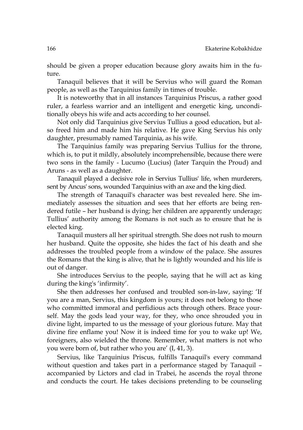should be given a proper education because glory awaits him in the future.

Tanaquil believes that it will be Servius who will guard the Roman people, as well as the Tarquinius family in times of trouble.

It is noteworthy that in all instances Tarquinius Priscus, a rather good ruler, a fearless warrior and an intelligent and energetic king, unconditionally obeys his wife and acts according to her counsel.

Not only did Tarquinius give Servius Tullius a good education, but also freed him and made him his relative. He gave King Servius his only daughter, presumably named Tarquinia, as his wife.

The Tarquinius family was preparing Servius Tullius for the throne, which is, to put it mildly, absolutely incomprehensible, because there were two sons in the family - Lucumo (Lucius) (later Tarquin the Proud) and Aruns - as well as a daughter.

Tanaquil played a decisive role in Servius Tullius' life, when murderers, sent by Ancus' sons, wounded Tarquinius with an axe and the king died.

The strength of Tanaquil's character was best revealed here. She immediately assesses the situation and sees that her efforts are being rendered futile – her husband is dying; her children are apparently underage; Tullius' authority among the Romans is not such as to ensure that he is elected king.

Tanaquil musters all her spiritual strength. She does not rush to mourn her husband. Quite the opposite, she hides the fact of his death and she addresses the troubled people from a window of the palace. She assures the Romans that the king is alive, that he is lightly wounded and his life is out of danger.

She introduces Servius to the people, saying that he will act as king during the king's 'infirmity'.

She then addresses her confused and troubled son-in-law, saying: 'If you are a man, Servius, this kingdom is yours; it does not belong to those who committed immoral and perfidious acts through others. Brace yourself. May the gods lead your way, for they, who once shrouded you in divine light, imparted to us the message of your glorious future. May that divine fire enflame you! Now it is indeed time for you to wake up! We, foreigners, also wielded the throne. Remember, what matters is not who you were born of, but rather who you are' (I, 41, 3).

Servius, like Tarquinius Priscus, fulfills Tanaquil's every command without question and takes part in a performance staged by Tanaquil – accompanied by Lictors and clad in Trabei, he ascends the royal throne and conducts the court. He takes decisions pretending to be counseling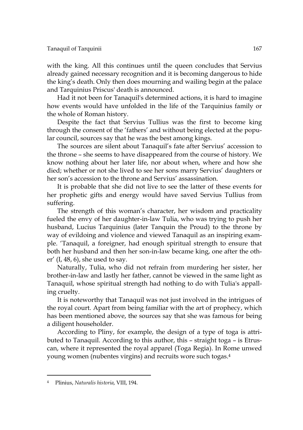with the king. All this continues until the queen concludes that Servius already gained necessary recognition and it is becoming dangerous to hide the king's death. Only then does mourning and wailing begin at the palace and Tarquinius Priscus' death is announced.

Had it not been for Tanaquil's determined actions, it is hard to imagine how events would have unfolded in the life of the Tarquinius family or the whole of Roman history.

Despite the fact that Servius Tullius was the first to become king through the consent of the 'fathers' and without being elected at the popular council, sources say that he was the best among kings.

The sources are silent about Tanaquil's fate after Servius' accession to the throne – she seems to have disappeared from the course of history. We know nothing about her later life, nor about when, where and how she died; whether or not she lived to see her sons marry Servius' daughters or her son's accession to the throne and Servius' assassination.

It is probable that she did not live to see the latter of these events for her prophetic gifts and energy would have saved Servius Tullius from suffering.

The strength of this woman's character, her wisdom and practicality fueled the envy of her daughter-in-law Tulia, who was trying to push her husband, Lucius Tarquinius (later Tanquin the Proud) to the throne by way of evildoing and violence and viewed Tanaquil as an inspiring example. 'Tanaquil, a foreigner, had enough spiritual strength to ensure that both her husband and then her son-in-law became king, one after the other' (I, 48, 6), she used to say.

Naturally, Tulia, who did not refrain from murdering her sister, her brother-in-law and lastly her father, cannot be viewed in the same light as Tanaquil, whose spiritual strength had nothing to do with Tulia's appalling cruelty.

It is noteworthy that Tanaquil was not just involved in the intrigues of the royal court. Apart from being familiar with the art of prophecy, which has been mentioned above, the sources say that she was famous for being a diligent householder.

According to Pliny, for example, the design of a type of toga is attributed to Tanaquil. According to this author, this – straight toga – is Etruscan, where it represented the royal apparel (Toga Regia). In Rome unwed young women (nubentes virgins) and recruits wore such togas.4

<sup>4</sup> Plinius, *Naturalis historia*, VIII, 194.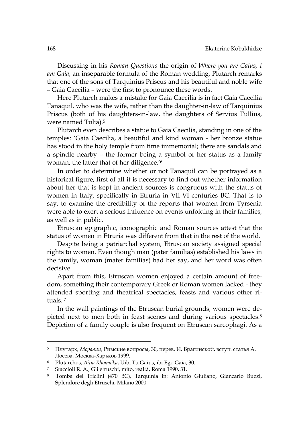Discussing in his *Roman Questions* the origin of *Where you are Gaius, I am Gaia*, an inseparable formula of the Roman wedding, Plutarch remarks that one of the sons of Tarquinius Priscus and his beautiful and noble wife – Gaia Caecilia – were the first to pronounce these words.

Here Plutarch makes a mistake for Gaia Caecilia is in fact Gaia Caecilia Tanaquil, who was the wife, rather than the daughter-in-law of Tarquinius Priscus (both of his daughters-in-law, the daughters of Servius Tullius, were named Tulia).5

Plutarch even describes a statue to Gaia Caecilia, standing in one of the temples: 'Gaia Caecilia, a beautiful and kind woman - her bronze statue has stood in the holy temple from time immemorial; there are sandals and a spindle nearby – the former being a symbol of her status as a family woman, the latter that of her diligence.'6

In order to determine whether or not Tanaquil can be portrayed as a historical figure, first of all it is necessary to find out whether information about her that is kept in ancient sources is congruous with the status of women in Italy, specifically in Etruria in VII-VI centuries BC. That is to say, to examine the credibility of the reports that women from Tyrsenia were able to exert a serious influence on events unfolding in their families, as well as in public.

Etruscan epigraphic, iconographic and Roman sources attest that the status of women in Etruria was different from that in the rest of the world.

Despite being a patriarchal system, Etruscan society assigned special rights to women. Even though man (pater familias) established his laws in the family, woman (mater familias) had her say, and her word was often decisive.

Apart from this, Etruscan women enjoyed a certain amount of freedom, something their contemporary Greek or Roman women lacked - they attended sporting and theatrical spectacles, feasts and various other rituals. <sup>7</sup>

In the wall paintings of the Etruscan burial grounds, women were depicted next to men both in feast scenes and during various spectacles.8 Depiction of a family couple is also frequent on Etruscan sarcophagi. As a

<sup>5</sup> Плутарх, *Моралии*, Римские вопросы, 30, перев. И. Брагинской, вcтуп. статья А. Лосева, Москва-Харьков 1999.

<sup>6</sup> Plutarchos, *Aitia Rhomaika*, Uibi Tu Gaius, ibi Ego Gaia, 30.

<sup>7</sup> Staccioli R. A., Gli etruschi, mito, realtà, Roma 1990, 31.

<sup>8</sup> Tomba dei Triclini (470 BC), Tarquinia in: Antonio Giuliano, Giancarlo Buzzi, Splendore degli Etruschi, Milano 2000.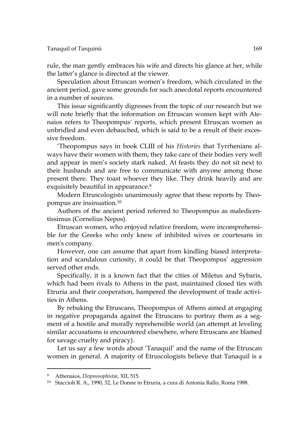rule, the man gently embraces his wife and directs his glance at her, while the latter's glance is directed at the viewer.

Speculation about Etruscan women's freedom, which circulated in the ancient period, gave some grounds for such anecdotal reports encountered in a number of sources.

This issue significantly digresses from the topic of our research but we will note briefly that the information on Etruscan women kept with Atenaios refers to Theopompus' reports, which present Etruscan women as unbridled and even debauched, which is said to be a result of their excessive freedom.

'Theopompus says in book CLIII of his *Histories* that Tyrrhenians always have their women with them; they take care of their bodies very well and appear in men's society stark naked. At feasts they do not sit next to their husbands and are free to communicate with anyone among those present there. They toast whoever they like. They drink heavily and are exquisitely beautiful in appearance.<sup>9</sup>

Modern Etruscologists unanimously agree that these reports by Theopompus are insinuation.10

Authors of the ancient period referred to Theopompus as maledicentissimus (Cornelius Nepos).

Etruscan women, who enjoyed relative freedom, were incomprehensible for the Greeks who only knew of inhibited wives or courtesans in men's company.

However, one can assume that apart from kindling biased interpretation and scandalous curiosity, it could be that Theopompus' aggression served other ends.

Specifically, it is a known fact that the cities of Miletus and Sybaris, which had been rivals to Athens in the past, maintained closed ties with Etruria and their cooperation, hampered the development of trade activities in Athens.

By rebuking the Etruscans, Theopompus of Athens aimed at engaging in negative propaganda against the Etruscans to portray them as a segment of a hostile and morally reprehensible world (an attempt at leveling similar accusations is encountered elsewhere, where Etruscans are blamed for savage cruelty and piracy).

Let us say a few words about 'Tanaquil' and the name of the Etruscan women in general. A majority of Etruscologists believe that Tanaquil is a

<sup>9</sup> Athenaios, *Deipnosophistai*, XII, 515.

<sup>10</sup> Staccioli R. A., 1990, 32, Le Donne in Etruria, a cura di Antonia Rallo, Roma 1988.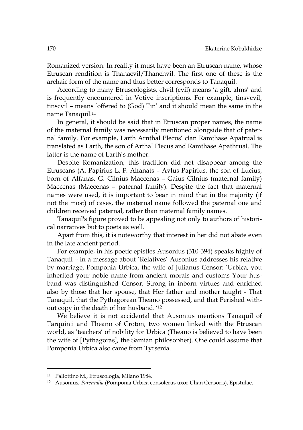Romanized version. In reality it must have been an Etruscan name, whose Etruscan rendition is Thanacvil/Thanchvil. The first one of these is the archaic form of the name and thus better corresponds to Tanaquil.

According to many Etruscologists, chvil (cvil) means 'a gift, alms' and is frequently encountered in Votive inscriptions. For example, tinsvcvil, tinscvil – means 'offered to (God) Tin' and it should mean the same in the name Tanaquil.11

In general, it should be said that in Etruscan proper names, the name of the maternal family was necessarily mentioned alongside that of paternal family. For example, Larth Arnthal Plecus' clan Ramthase Apatrual is translated as Larth, the son of Arthal Plecus and Ramthase Apathrual. The latter is the name of Larth's mother.

Despite Romanization, this tradition did not disappear among the Etruscans (A. Papirius L. F. Alfanats – Avlus Papirius, the son of Lucius, born of Alfanas, G. Cilnius Maecenas – Gaius Cilnius (maternal family) Maecenas (Maecenas – paternal family). Despite the fact that maternal names were used, it is important to bear in mind that in the majority (if not the most) of cases, the maternal name followed the paternal one and children received paternal, rather than maternal family names.

Tanaquil's figure proved to be appealing not only to authors of historical narratives but to poets as well.

Apart from this, it is noteworthy that interest in her did not abate even in the late ancient period.

For example, in his poetic epistles Ausonius (310-394) speaks highly of Tanaquil – in a message about 'Relatives' Ausonius addresses his relative by marriage, Pomponia Urbica, the wife of Julianus Censor: 'Urbica, you inherited your noble name from ancient morals and customs Your husband was distinguished Censor; Strong in inborn virtues and enriched also by those that her spouse, that Her father and mother taught - That Tanaquil, that the Pythagorean Theano possessed, and that Perished without copy in the death of her husband. '12

We believe it is not accidental that Ausonius mentions Tanaquil of Tarquinii and Theano of Croton, two women linked with the Etruscan world, as 'teachers' of nobility for Urbica (Theano is believed to have been the wife of [Pythagoras], the Samian philosopher). One could assume that Pomponia Urbica also came from Tyrsenia.

<sup>11</sup> Pallottino M., Etruscologia, Milano 1984.

<sup>12</sup> Ausonius, *Parentalia* (Pomponia Urbica consolerus uxor Ulian Censoris), Epistulae.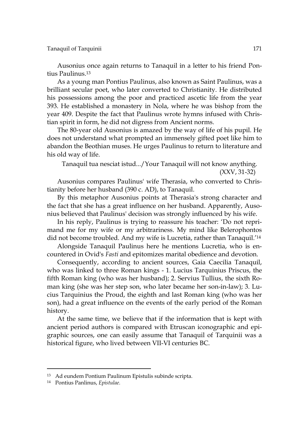Ausonius once again returns to Tanaquil in a letter to his friend Pontius Paulinus.13

As a young man Pontius Paulinus, also known as Saint Paulinus, was a brilliant secular poet, who later converted to Christianity. He distributed his possessions among the poor and practiced ascetic life from the year 393. He established a monastery in Nola, where he was bishop from the year 409. Despite the fact that Paulinus wrote hymns infused with Christian spirit in form, he did not digress from Ancient norms.

The 80-year old Ausonius is amazed by the way of life of his pupil. He does not understand what prompted an immensely gifted poet like him to abandon the Beothian muses. He urges Paulinus to return to literature and his old way of life.

Tanaquil tua nesciat istud.../Your Tanaquil will not know anything. (XXV, 31-32)

Ausonius compares Paulinus' wife Therasia, who converted to Christianity before her husband (390 c. AD), to Tanaquil.

By this metaphor Ausonius points at Therasia's strong character and the fact that she has a great influence on her husband. Apparently, Ausonius believed that Paulinus' decision was strongly influenced by his wife.

In his reply, Paulinus is trying to reassure his teacher: 'Do not reprimand me for my wife or my arbitrariness. My mind like Belerophontos did not become troubled. And my wife is Lucretia, rather than Tanaquil.'14

Alongside Tanaquil Paulinus here he mentions Lucretia, who is encountered in Ovid's *Fasti* and epitomizes marital obedience and devotion.

Consequently, according to ancient sources, Gaia Caecilia Tanaquil, who was linked to three Roman kings - 1. Lucius Tarquinius Priscus, the fifth Roman king (who was her husband); 2. Servius Tullius, the sixth Roman king (she was her step son, who later became her son-in-law); 3. Lucius Tarquinius the Proud, the eighth and last Roman king (who was her son), had a great influence on the events of the early period of the Roman history.

At the same time, we believe that if the information that is kept with ancient period authors is compared with Etruscan iconographic and epigraphic sources, one can easily assume that Tanaquil of Tarquinii was a historical figure, who lived between VII-VI centuries BC.

<sup>13</sup> Ad eundem Pontium Paulinum Epistulis subinde scripta.

<sup>14</sup> Pontius Panlinus, *Epistulae.*